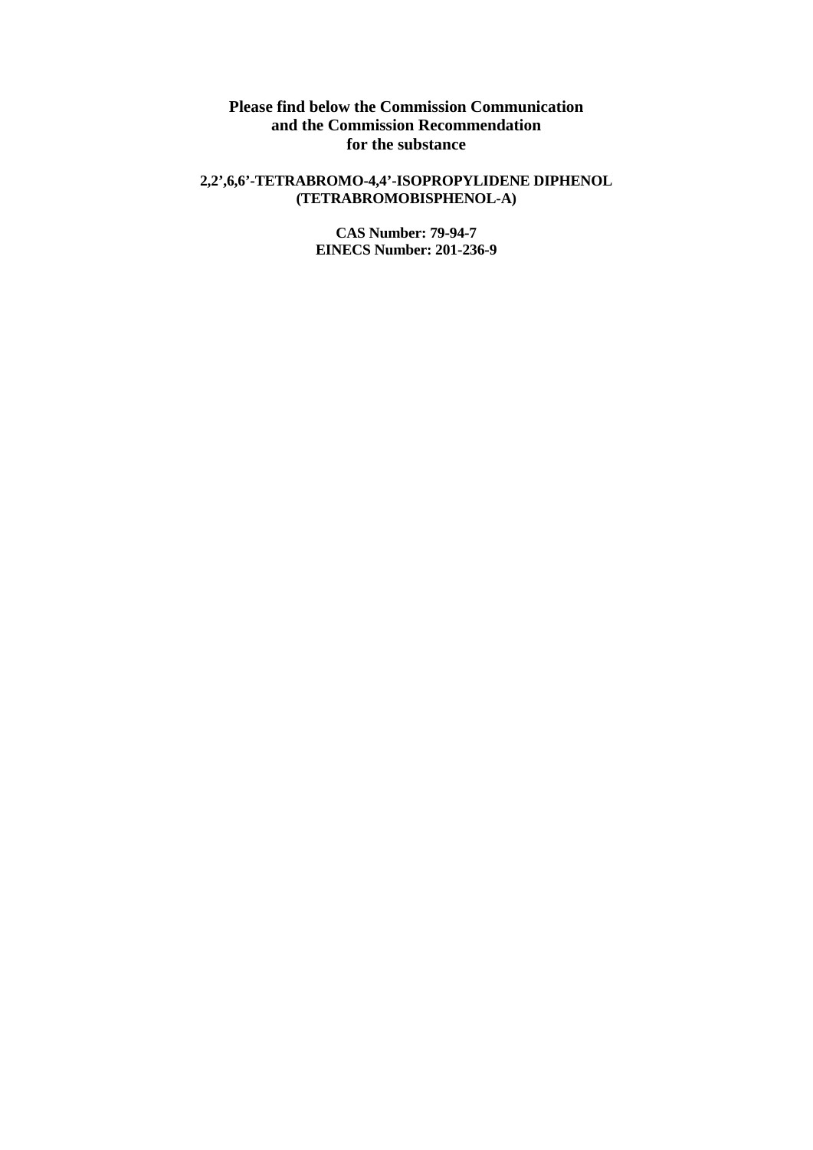**Please find below the Commission Communication and the Commission Recommendation for the substance** 

## **2,2',6,6'-TETRABROMO-4,4'-ISOPROPYLIDENE DIPHENOL (TETRABROMOBISPHENOL-A)**

**CAS Number: 79-94-7 EINECS Number: 201-236-9**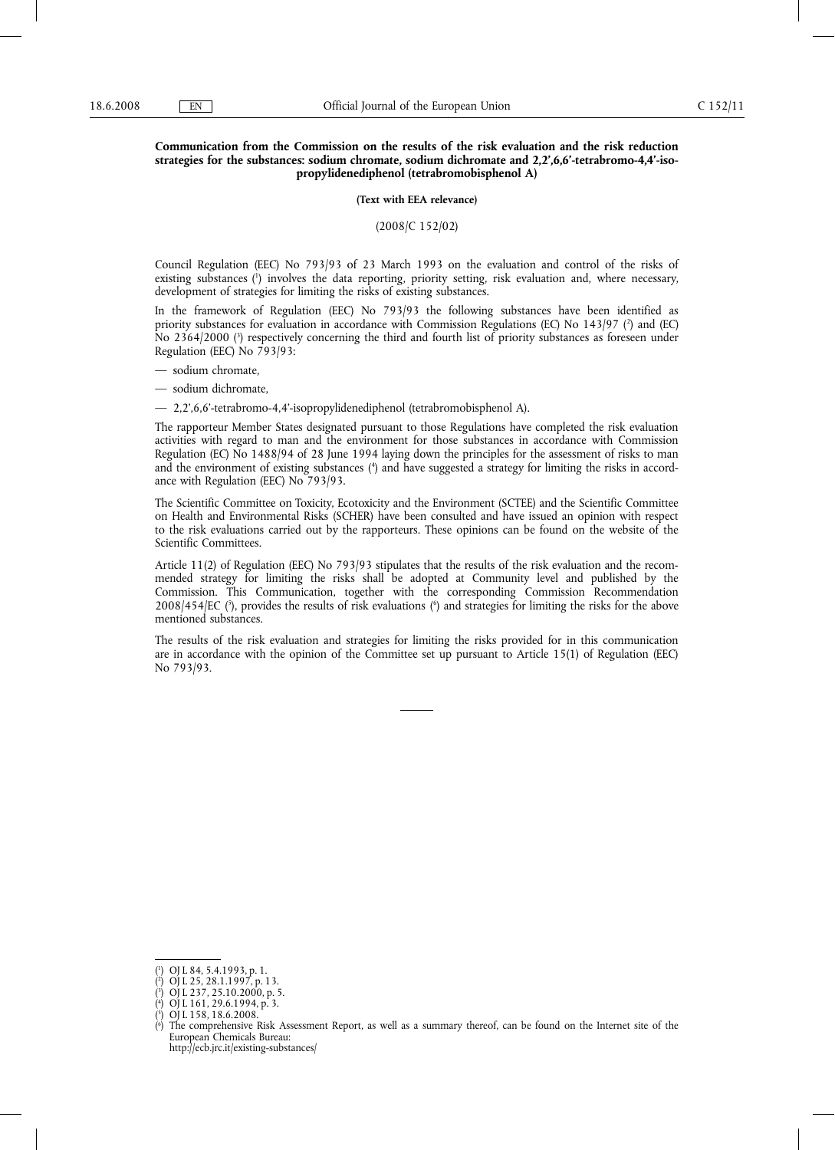## **Communication from the Commission on the results of the risk evaluation and the risk reduction strategies for the substances: sodium chromate, sodium dichromate and 2,2',6,6'-tetrabromo-4,4'-isopropylidenediphenol (tetrabromobisphenol A)**

**(Text with EEA relevance)**

(2008/C 152/02)

Council Regulation (EEC) No 793/93 of 23 March 1993 on the evaluation and control of the risks of existing substances (1) involves the data reporting, priority setting, risk evaluation and, where necessary, development of strategies for limiting the risks of existing substances.

In the framework of Regulation (EEC) No 793/93 the following substances have been identified as priority substances for evaluation in accordance with Commission Regulations (EC) No 143/97 (?) and (EC) No 2364/2000 (3 ) respectively concerning the third and fourth list of priority substances as foreseen under Regulation (EEC) No 793/93:

— sodium chromate,

— sodium dichromate,

— 2,2',6,6'-tetrabromo-4,4'-isopropylidenediphenol (tetrabromobisphenol A).

The rapporteur Member States designated pursuant to those Regulations have completed the risk evaluation activities with regard to man and the environment for those substances in accordance with Commission Regulation (EC) No 1488/94 of 28 June 1994 laying down the principles for the assessment of risks to man and the environment of existing substances (4) and have suggested a strategy for limiting the risks in accordance with Regulation (EEC) No 793/93.

The Scientific Committee on Toxicity, Ecotoxicity and the Environment (SCTEE) and the Scientific Committee on Health and Environmental Risks (SCHER) have been consulted and have issued an opinion with respect to the risk evaluations carried out by the rapporteurs. These opinions can be found on the website of the Scientific Committees.

Article 11(2) of Regulation (EEC) No 793/93 stipulates that the results of the risk evaluation and the recommended strategy for limiting the risks shall be adopted at Community level and published by the Commission. This Communication, together with the corresponding Commission Recommendation 2008/454/EC (5), provides the results of risk evaluations (6) and strategies for limiting the risks for the above mentioned substances.

The results of the risk evaluation and strategies for limiting the risks provided for in this communication are in accordance with the opinion of the Committee set up pursuant to Article 15(1) of Regulation (EEC) No 793/93.

http://ecb.jrc.it/existing-substances/

<sup>(</sup> 1 ) OJ L 84, 5.4.1993, p. 1.

<sup>(</sup> 2 ) OJ L 25, 28.1.1997, p. 13.

<sup>(</sup> 3 ) OJ L 237, 25.10.2000, p. 5.

<sup>(</sup> 4 ) OJ L 161, 29.6.1994, p. 3.

<sup>(</sup> 5 ) OJ L 158, 18.6.2008.

<sup>(</sup> 6 ) The comprehensive Risk Assessment Report, as well as a summary thereof, can be found on the Internet site of the European Chemicals Bureau: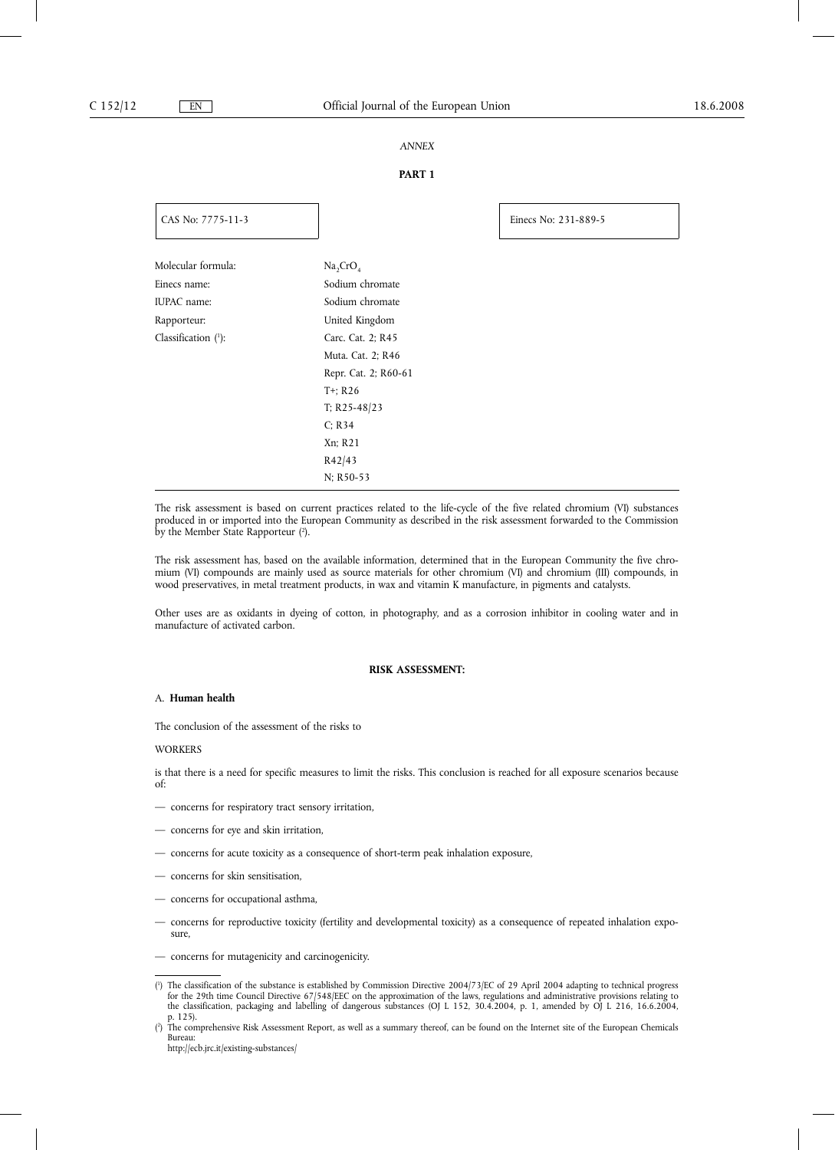## *ANNEX*

## **PART 1**

| CAS No: 7775-11-3                  |                                                     | Einecs No: 231-889-5 |
|------------------------------------|-----------------------------------------------------|----------------------|
| Molecular formula:<br>Einecs name: | Na <sub>2</sub> CrO <sub>4</sub><br>Sodium chromate |                      |
| IUPAC name:                        | Sodium chromate                                     |                      |
| Rapporteur:                        | United Kingdom                                      |                      |
| Classification $(1)$ :             | Carc. Cat. 2; R45                                   |                      |
|                                    | Muta. Cat. 2; R46                                   |                      |
|                                    | Repr. Cat. 2; R60-61                                |                      |
|                                    | $T^+$ ; R26                                         |                      |
|                                    | T; R25-48/23                                        |                      |
|                                    | C; R34                                              |                      |
|                                    | Xn; R21                                             |                      |
|                                    | R42/43                                              |                      |
|                                    | N; R50-53                                           |                      |

The risk assessment is based on current practices related to the life-cycle of the five related chromium (VI) substances produced in or imported into the European Community as described in the risk assessment forwarded to the Commission by the Member State Rapporteur (?).

The risk assessment has, based on the available information, determined that in the European Community the five chromium (VI) compounds are mainly used as source materials for other chromium (VI) and chromium (III) compounds, in wood preservatives, in metal treatment products, in wax and vitamin K manufacture, in pigments and catalysts.

Other uses are as oxidants in dyeing of cotton, in photography, and as a corrosion inhibitor in cooling water and in manufacture of activated carbon.

#### **RISK ASSESSMENT:**

## A. **Human health**

The conclusion of the assessment of the risks to

#### **WORKERS**

is that there is a need for specific measures to limit the risks. This conclusion is reached for all exposure scenarios because of:

- concerns for respiratory tract sensory irritation,
- concerns for eye and skin irritation,
- concerns for acute toxicity as a consequence of short-term peak inhalation exposure,
- concerns for skin sensitisation,
- concerns for occupational asthma,
- concerns for reproductive toxicity (fertility and developmental toxicity) as a consequence of repeated inhalation exposure,
- concerns for mutagenicity and carcinogenicity.

<sup>(</sup> 1 ) The classification of the substance is established by Commission Directive 2004/73/EC of 29 April 2004 adapting to technical progress for the 29th time Council Directive 67/548/EEC on the approximation of the laws, regulations and administrative provisions relating to the classification, packaging and labelling of dangerous substances (OJ L 152, 30.4.2004, p. 1, amended by OJ L 216, 16.6.2004, p. 125).

<sup>(</sup> 2 ) The comprehensive Risk Assessment Report, as well as a summary thereof, can be found on the Internet site of the European Chemicals Bureau:

http://ecb.jrc.it/existing-substances/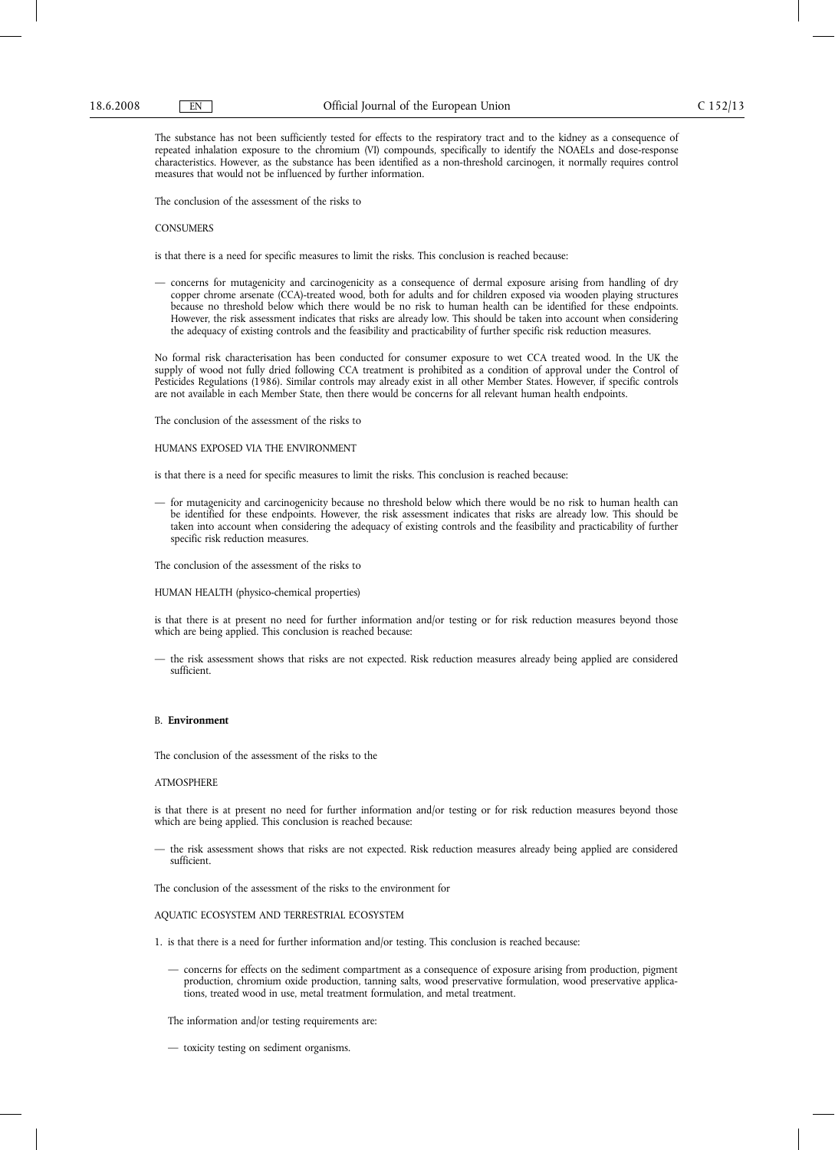The substance has not been sufficiently tested for effects to the respiratory tract and to the kidney as a consequence of repeated inhalation exposure to the chromium (VI) compounds, specifically to identify the NOAELs and dose-response characteristics. However, as the substance has been identified as a non-threshold carcinogen, it normally requires control measures that would not be influenced by further information.

The conclusion of the assessment of the risks to

#### **CONSUMERS**

is that there is a need for specific measures to limit the risks. This conclusion is reached because:

— concerns for mutagenicity and carcinogenicity as a consequence of dermal exposure arising from handling of dry copper chrome arsenate (CCA)-treated wood, both for adults and for children exposed via wooden playing structures because no threshold below which there would be no risk to human health can be identified for these endpoints. However, the risk assessment indicates that risks are already low. This should be taken into account when considering the adequacy of existing controls and the feasibility and practicability of further specific risk reduction measures.

No formal risk characterisation has been conducted for consumer exposure to wet CCA treated wood. In the UK the supply of wood not fully dried following CCA treatment is prohibited as a condition of approval under the Control of Pesticides Regulations (1986). Similar controls may already exist in all other Member States. However, if specific controls are not available in each Member State, then there would be concerns for all relevant human health endpoints.

The conclusion of the assessment of the risks to

#### HUMANS EXPOSED VIA THE ENVIRONMENT

is that there is a need for specific measures to limit the risks. This conclusion is reached because:

- for mutagenicity and carcinogenicity because no threshold below which there would be no risk to human health can be identified for these endpoints. However, the risk assessment indicates that risks are already low. This should be taken into account when considering the adequacy of existing controls and the feasibility and practicability of further specific risk reduction measures.
- The conclusion of the assessment of the risks to
- HUMAN HEALTH (physico-chemical properties)

is that there is at present no need for further information and/or testing or for risk reduction measures beyond those which are being applied. This conclusion is reached because:

— the risk assessment shows that risks are not expected. Risk reduction measures already being applied are considered sufficient.

#### B. **Environment**

The conclusion of the assessment of the risks to the

#### ATMOSPHERE

is that there is at present no need for further information and/or testing or for risk reduction measures beyond those which are being applied. This conclusion is reached because:

— the risk assessment shows that risks are not expected. Risk reduction measures already being applied are considered sufficient.

The conclusion of the assessment of the risks to the environment for

#### AQUATIC ECOSYSTEM AND TERRESTRIAL ECOSYSTEM

- 1. is that there is a need for further information and/or testing. This conclusion is reached because:
	- concerns for effects on the sediment compartment as a consequence of exposure arising from production, pigment production, chromium oxide production, tanning salts, wood preservative formulation, wood preservative applications, treated wood in use, metal treatment formulation, and metal treatment.

The information and/or testing requirements are:

— toxicity testing on sediment organisms.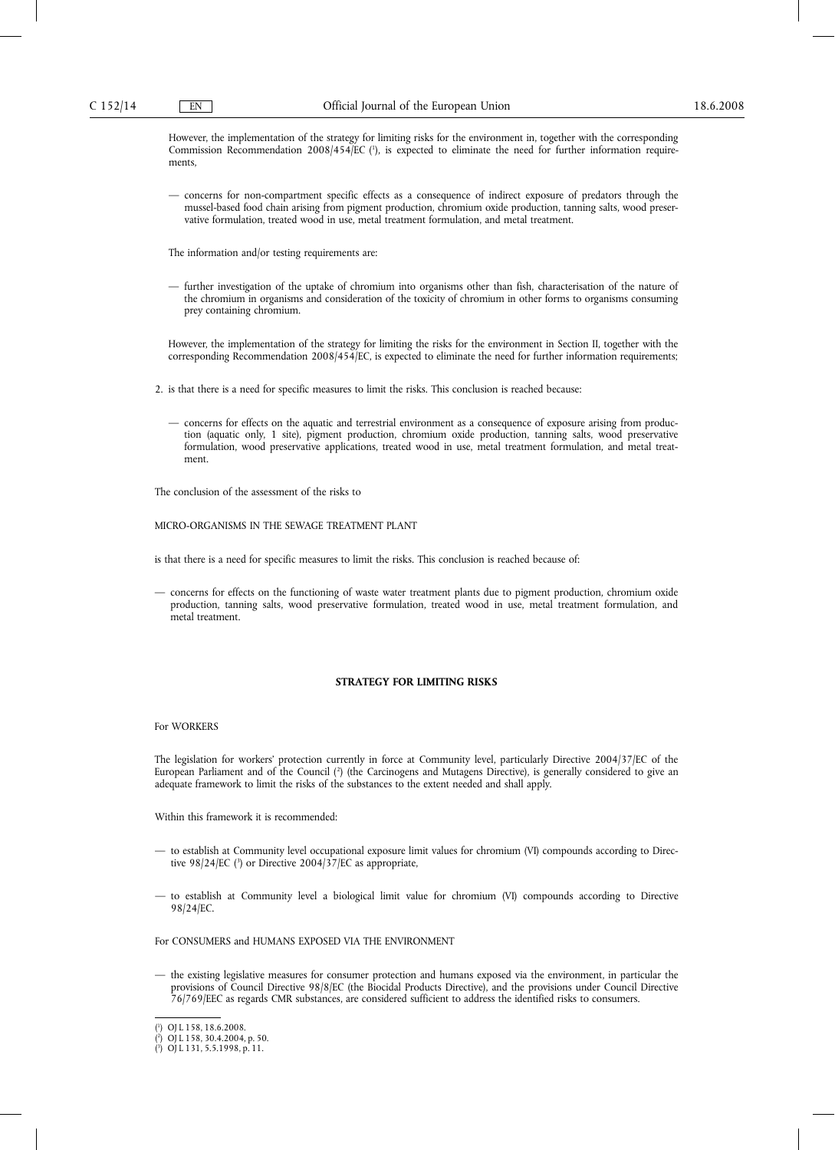However, the implementation of the strategy for limiting risks for the environment in, together with the corresponding Commission Recommendation 2008/454/EC (<sup>1</sup>), is expected to eliminate the need for further information requirements,

— concerns for non-compartment specific effects as a consequence of indirect exposure of predators through the mussel-based food chain arising from pigment production, chromium oxide production, tanning salts, wood preservative formulation, treated wood in use, metal treatment formulation, and metal treatment.

The information and/or testing requirements are:

— further investigation of the uptake of chromium into organisms other than fish, characterisation of the nature of the chromium in organisms and consideration of the toxicity of chromium in other forms to organisms consuming prey containing chromium.

However, the implementation of the strategy for limiting the risks for the environment in Section II, together with the corresponding Recommendation 2008/454/EC, is expected to eliminate the need for further information requirements;

2. is that there is a need for specific measures to limit the risks. This conclusion is reached because:

— concerns for effects on the aquatic and terrestrial environment as a consequence of exposure arising from production (aquatic only, 1 site), pigment production, chromium oxide production, tanning salts, wood preservative formulation, wood preservative applications, treated wood in use, metal treatment formulation, and metal treatment.

The conclusion of the assessment of the risks to

MICRO-ORGANISMS IN THE SEWAGE TREATMENT PLANT

is that there is a need for specific measures to limit the risks. This conclusion is reached because of:

— concerns for effects on the functioning of waste water treatment plants due to pigment production, chromium oxide production, tanning salts, wood preservative formulation, treated wood in use, metal treatment formulation, and metal treatment.

#### **STRATEGY FOR LIMITING RISKS**

#### For WORKERS

The legislation for workers' protection currently in force at Community level, particularly Directive 2004/37/EC of the European Parliament and of the Council (?) (the Carcinogens and Mutagens Directive), is generally considered to give an adequate framework to limit the risks of the substances to the extent needed and shall apply.

Within this framework it is recommended:

- to establish at Community level occupational exposure limit values for chromium (VI) compounds according to Directive 98/24/EC (3 ) or Directive 2004/37/EC as appropriate,
- to establish at Community level a biological limit value for chromium (VI) compounds according to Directive 98/24/EC.

#### For CONSUMERS and HUMANS EXPOSED VIA THE ENVIRONMENT

— the existing legislative measures for consumer protection and humans exposed via the environment, in particular the provisions of Council Directive 98/8/EC (the Biocidal Products Directive), and the provisions under Council Directive 76/769/EEC as regards CMR substances, are considered sufficient to address the identified risks to consumers.

<sup>(</sup> 1 ) OJ L 158, 18.6.2008.

<sup>(</sup> 2 ) OJ L 158, 30.4.2004, p. 50.

<sup>(</sup> 3 ) OJ L 131, 5.5.1998, p. 11.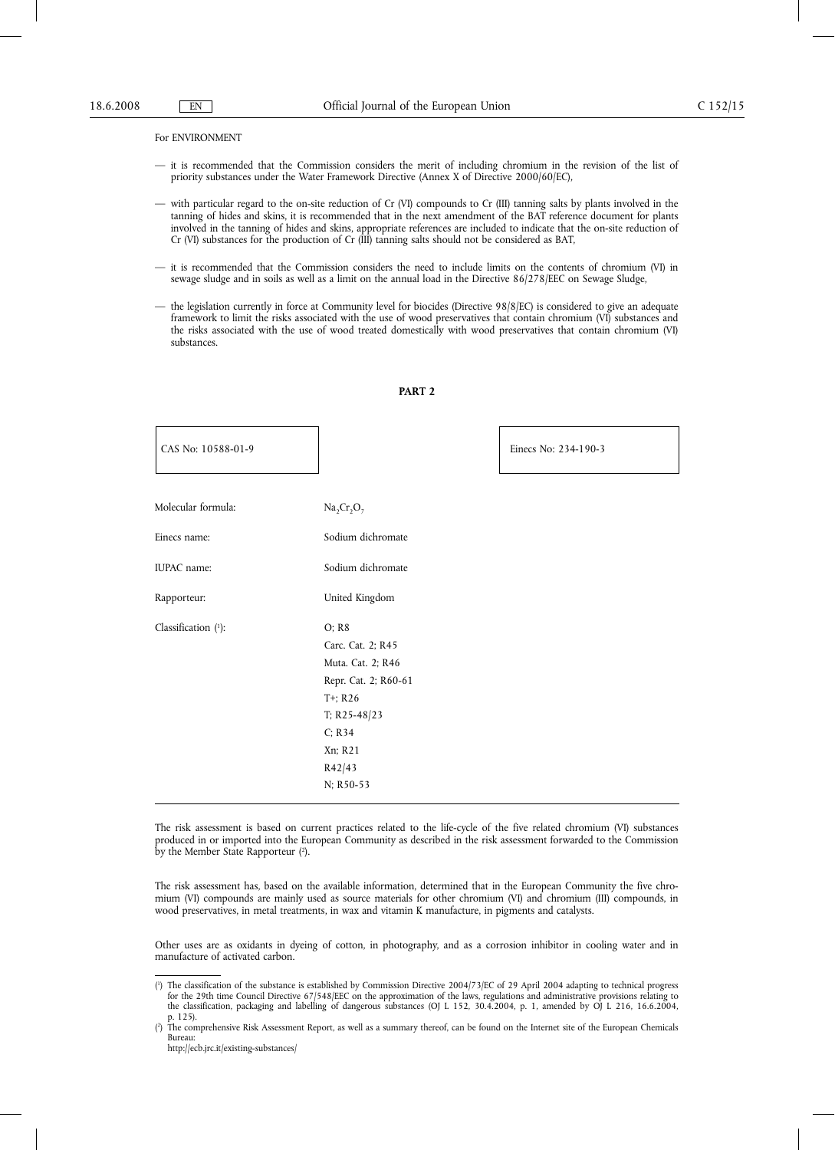#### For ENVIRONMENT

- it is recommended that the Commission considers the merit of including chromium in the revision of the list of priority substances under the Water Framework Directive (Annex X of Directive 2000/60/EC),
- with particular regard to the on-site reduction of Cr (VI) compounds to Cr (III) tanning salts by plants involved in the tanning of hides and skins, it is recommended that in the next amendment of the BAT reference document for plants involved in the tanning of hides and skins, appropriate references are included to indicate that the on-site reduction of Cr (VI) substances for the production of Cr (III) tanning salts should not be considered as BAT,
- it is recommended that the Commission considers the need to include limits on the contents of chromium (VI) in sewage sludge and in soils as well as a limit on the annual load in the Directive 86/278/EEC on Sewage Sludge,
- the legislation currently in force at Community level for biocides (Directive 98/8/EC) is considered to give an adequate framework to limit the risks associated with the use of wood preservatives that contain chromium (VI) substances and the risks associated with the use of wood treated domestically with wood preservatives that contain chromium (VI) substances.

| Molecular formula:     | $Na2Cr2O7$           |
|------------------------|----------------------|
| Einecs name:           | Sodium dichromate    |
| IUPAC name:            | Sodium dichromate    |
| Rapporteur:            | United Kingdom       |
| Classification $(1)$ : | O; R8                |
|                        | Carc. Cat. 2; R45    |
|                        | Muta. Cat. 2; R46    |
|                        | Repr. Cat. 2; R60-61 |
|                        | $T^+$ ; R26          |
|                        | T; R25-48/23         |
|                        | C: R34               |
|                        | Xn; R21              |
|                        | R42/43               |
|                        | N: R50-53            |
|                        |                      |

#### **PART 2**

CAS No: 10588-01-9 Einecs No: 234-190-3

The risk assessment is based on current practices related to the life-cycle of the five related chromium (VI) substances produced in or imported into the European Community as described in the risk assessment forwarded to the Commission by the Member State Rapporteur (<sup>2</sup>).

The risk assessment has, based on the available information, determined that in the European Community the five chromium (VI) compounds are mainly used as source materials for other chromium (VI) and chromium (III) compounds, in wood preservatives, in metal treatments, in wax and vitamin K manufacture, in pigments and catalysts.

Other uses are as oxidants in dyeing of cotton, in photography, and as a corrosion inhibitor in cooling water and in manufacture of activated carbon.

<sup>(</sup> 1 ) The classification of the substance is established by Commission Directive 2004/73/EC of 29 April 2004 adapting to technical progress for the 29th time Council Directive 67/548/EEC on the approximation of the laws, regulations and administrative provisions relating to the classification, packaging and labelling of dangerous substances (OJ L 152, 30.4.2004, p. 1, amended by OJ L 216, 16.6.2004, p. 125).

<sup>(</sup> 2 ) The comprehensive Risk Assessment Report, as well as a summary thereof, can be found on the Internet site of the European Chemicals Bureau:

http://ecb.jrc.it/existing-substances/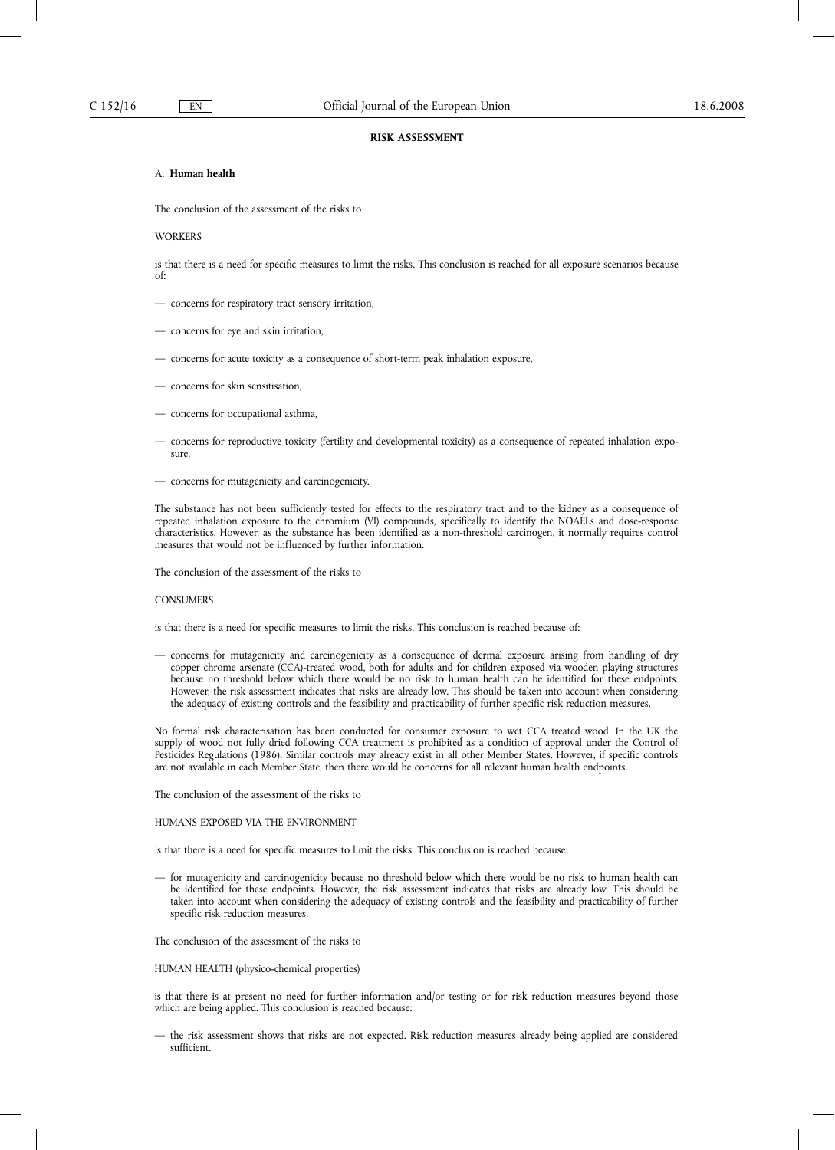#### **RISK ASSESSMENT**

## A. **Human health**

The conclusion of the assessment of the risks to

#### **WORKERS**

is that there is a need for specific measures to limit the risks. This conclusion is reached for all exposure scenarios because of:

- concerns for respiratory tract sensory irritation,
- concerns for eye and skin irritation,
- concerns for acute toxicity as a consequence of short-term peak inhalation exposure,
- concerns for skin sensitisation,
- concerns for occupational asthma,
- concerns for reproductive toxicity (fertility and developmental toxicity) as a consequence of repeated inhalation exposure,
- concerns for mutagenicity and carcinogenicity.

The substance has not been sufficiently tested for effects to the respiratory tract and to the kidney as a consequence of repeated inhalation exposure to the chromium (VI) compounds, specifically to identify the NOAELs and dose-response characteristics. However, as the substance has been identified as a non-threshold carcinogen, it normally requires control measures that would not be influenced by further information.

The conclusion of the assessment of the risks to

#### **CONSUMERS**

is that there is a need for specific measures to limit the risks. This conclusion is reached because of:

— concerns for mutagenicity and carcinogenicity as a consequence of dermal exposure arising from handling of dry copper chrome arsenate (CCA)-treated wood, both for adults and for children exposed via wooden playing structures because no threshold below which there would be no risk to human health can be identified for these endpoints. However, the risk assessment indicates that risks are already low. This should be taken into account when considering the adequacy of existing controls and the feasibility and practicability of further specific risk reduction measures.

No formal risk characterisation has been conducted for consumer exposure to wet CCA treated wood. In the UK the supply of wood not fully dried following CCA treatment is prohibited as a condition of approval under the Control of Pesticides Regulations (1986). Similar controls may already exist in all other Member States. However, if specific controls are not available in each Member State, then there would be concerns for all relevant human health endpoints.

The conclusion of the assessment of the risks to

#### HUMANS EXPOSED VIA THE ENVIRONMENT

is that there is a need for specific measures to limit the risks. This conclusion is reached because:

— for mutagenicity and carcinogenicity because no threshold below which there would be no risk to human health can be identified for these endpoints. However, the risk assessment indicates that risks are already low. This should be taken into account when considering the adequacy of existing controls and the feasibility and practicability of further specific risk reduction measures.

The conclusion of the assessment of the risks to

HUMAN HEALTH (physico-chemical properties)

is that there is at present no need for further information and/or testing or for risk reduction measures beyond those which are being applied. This conclusion is reached because:

— the risk assessment shows that risks are not expected. Risk reduction measures already being applied are considered sufficient.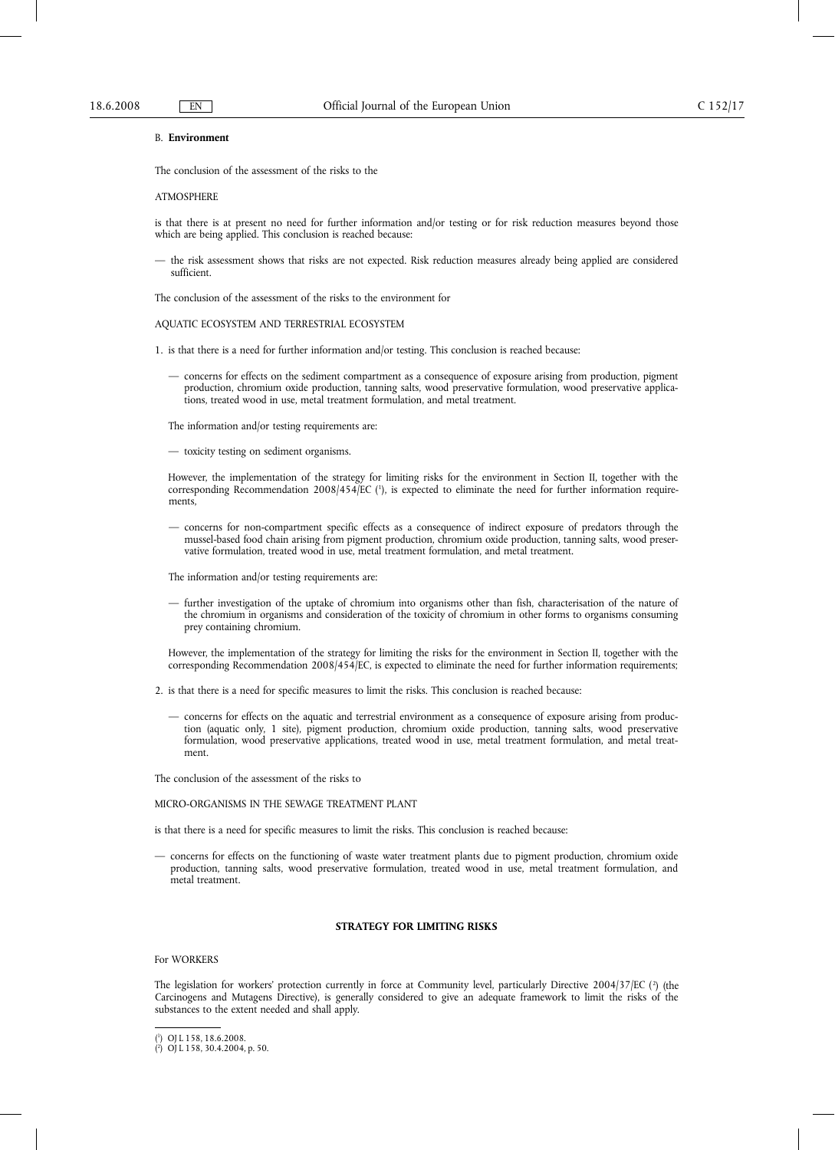#### B. **Environment**

The conclusion of the assessment of the risks to the

#### **ATMOSPHERE**

is that there is at present no need for further information and/or testing or for risk reduction measures beyond those which are being applied. This conclusion is reached because:

— the risk assessment shows that risks are not expected. Risk reduction measures already being applied are considered sufficient.

The conclusion of the assessment of the risks to the environment for

#### AQUATIC ECOSYSTEM AND TERRESTRIAL ECOSYSTEM

- 1. is that there is a need for further information and/or testing. This conclusion is reached because:
	- concerns for effects on the sediment compartment as a consequence of exposure arising from production, pigment production, chromium oxide production, tanning salts, wood preservative formulation, wood preservative applications, treated wood in use, metal treatment formulation, and metal treatment.

The information and/or testing requirements are:

— toxicity testing on sediment organisms.

However, the implementation of the strategy for limiting risks for the environment in Section II, together with the corresponding Recommendation 2008/454/EC (1), is expected to eliminate the need for further information requirements,

— concerns for non-compartment specific effects as a consequence of indirect exposure of predators through the mussel-based food chain arising from pigment production, chromium oxide production, tanning salts, wood preservative formulation, treated wood in use, metal treatment formulation, and metal treatment.

The information and/or testing requirements are:

— further investigation of the uptake of chromium into organisms other than fish, characterisation of the nature of the chromium in organisms and consideration of the toxicity of chromium in other forms to organisms consuming prey containing chromium.

However, the implementation of the strategy for limiting the risks for the environment in Section II, together with the corresponding Recommendation 2008/454/EC, is expected to eliminate the need for further information requirements;

- 2. is that there is a need for specific measures to limit the risks. This conclusion is reached because:
	- concerns for effects on the aquatic and terrestrial environment as a consequence of exposure arising from production (aquatic only, 1 site), pigment production, chromium oxide production, tanning salts, wood preservative formulation, wood preservative applications, treated wood in use, metal treatment formulation, and metal treatment.

The conclusion of the assessment of the risks to

#### MICRO-ORGANISMS IN THE SEWAGE TREATMENT PLANT

is that there is a need for specific measures to limit the risks. This conclusion is reached because:

— concerns for effects on the functioning of waste water treatment plants due to pigment production, chromium oxide production, tanning salts, wood preservative formulation, treated wood in use, metal treatment formulation, and metal treatment.

## **STRATEGY FOR LIMITING RISKS**

#### For WORKERS

The legislation for workers' protection currently in force at Community level, particularly Directive 2004/37/EC (?) (the Carcinogens and Mutagens Directive), is generally considered to give an adequate framework to limit the risks of the substances to the extent needed and shall apply.

<sup>(</sup> 1 ) OJ L 158, 18.6.2008.

<sup>(</sup> 2 ) OJ L 158, 30.4.2004, p. 50.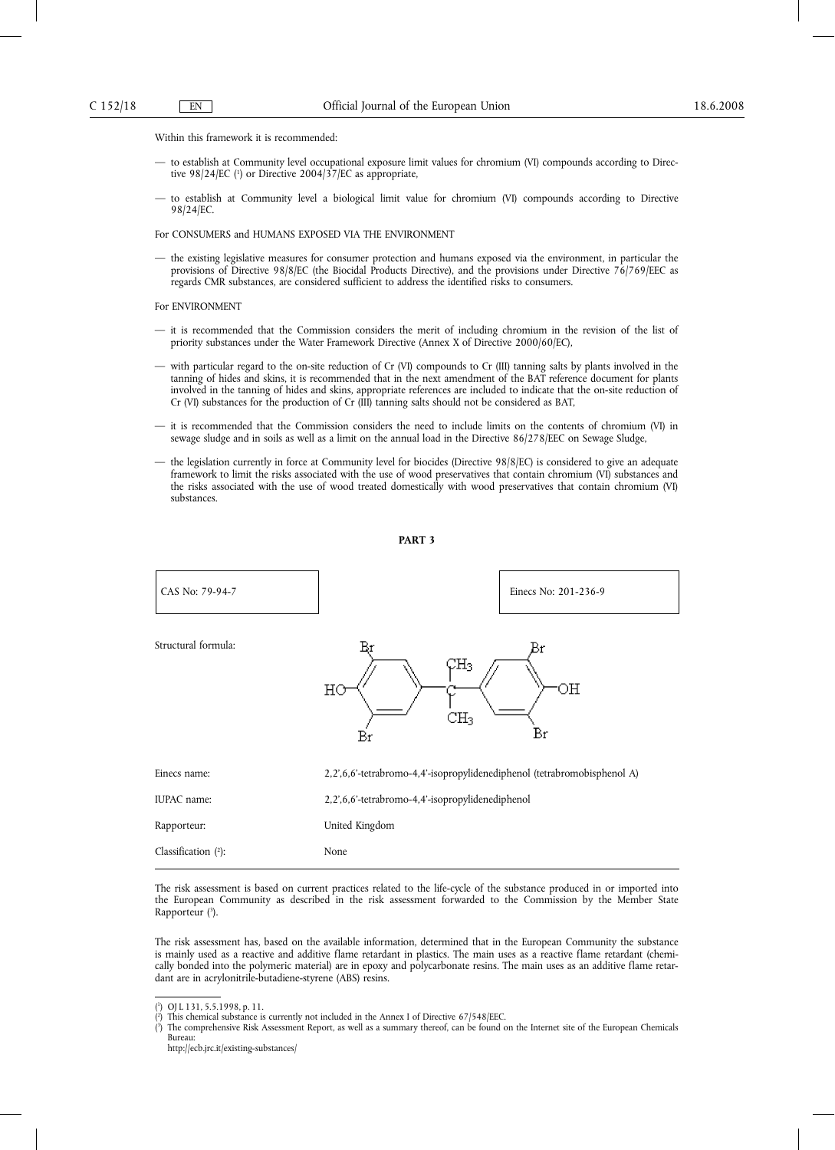Within this framework it is recommended:

- to establish at Community level occupational exposure limit values for chromium (VI) compounds according to Directive 98/24/EC (<sup>1</sup>) or Directive 2004/37/EC as appropriate,
- to establish at Community level a biological limit value for chromium (VI) compounds according to Directive 98/24/EC.

For CONSUMERS and HUMANS EXPOSED VIA THE ENVIRONMENT

— the existing legislative measures for consumer protection and humans exposed via the environment, in particular the provisions of Directive 98/8/EC (the Biocidal Products Directive), and the provisions under Directive 76/769/EEC as regards CMR substances, are considered sufficient to address the identified risks to consumers.

For ENVIRONMENT

- it is recommended that the Commission considers the merit of including chromium in the revision of the list of priority substances under the Water Framework Directive (Annex X of Directive 2000/60/EC),
- with particular regard to the on-site reduction of Cr (VI) compounds to Cr (III) tanning salts by plants involved in the tanning of hides and skins, it is recommended that in the next amendment of the BAT reference document for plants involved in the tanning of hides and skins, appropriate references are included to indicate that the on-site reduction of Cr (VI) substances for the production of Cr (III) tanning salts should not be considered as BAT,
- it is recommended that the Commission considers the need to include limits on the contents of chromium (VI) in sewage sludge and in soils as well as a limit on the annual load in the Directive 86/278/EEC on Sewage Sludge,
- the legislation currently in force at Community level for biocides (Directive 98/8/EC) is considered to give an adequate framework to limit the risks associated with the use of wood preservatives that contain chromium (VI) substances and the risks associated with the use of wood treated domestically with wood preservatives that contain chromium (VI) substances.

#### **PART 3**



The risk assessment is based on current practices related to the life-cycle of the substance produced in or imported into the European Community as described in the risk assessment forwarded to the Commission by the Member State Rapporteur (3 ).

The risk assessment has, based on the available information, determined that in the European Community the substance is mainly used as a reactive and additive flame retardant in plastics. The main uses as a reactive flame retardant (chemically bonded into the polymeric material) are in epoxy and polycarbonate resins. The main uses as an additive flame retardant are in acrylonitrile-butadiene-styrene (ABS) resins.

( 1 ) OJ L 131, 5.5.1998, p. 11.

<sup>(</sup> 2 ) This chemical substance is currently not included in the Annex I of Directive 67/548/EEC.

<sup>(</sup> 3 ) The comprehensive Risk Assessment Report, as well as a summary thereof, can be found on the Internet site of the European Chemicals Bureau:

http://ecb.jrc.it/existing-substances/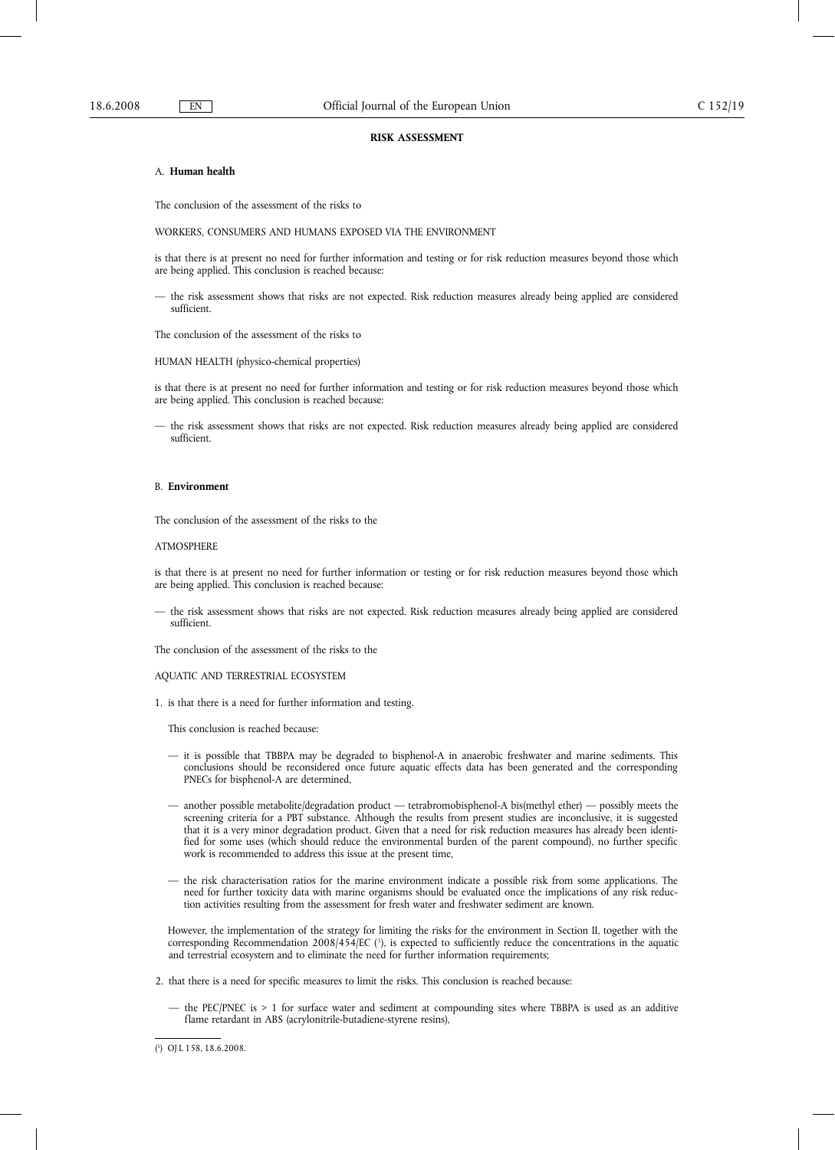#### **RISK ASSESSMENT**

#### A. **Human health**

The conclusion of the assessment of the risks to

WORKERS, CONSUMERS AND HUMANS EXPOSED VIA THE ENVIRONMENT

is that there is at present no need for further information and testing or for risk reduction measures beyond those which are being applied. This conclusion is reached because:

— the risk assessment shows that risks are not expected. Risk reduction measures already being applied are considered sufficient.

The conclusion of the assessment of the risks to

HUMAN HEALTH (physico-chemical properties)

is that there is at present no need for further information and testing or for risk reduction measures beyond those which are being applied. This conclusion is reached because:

— the risk assessment shows that risks are not expected. Risk reduction measures already being applied are considered sufficient.

#### B. **Environment**

The conclusion of the assessment of the risks to the

#### ATMOSPHERE

is that there is at present no need for further information or testing or for risk reduction measures beyond those which are being applied. This conclusion is reached because:

— the risk assessment shows that risks are not expected. Risk reduction measures already being applied are considered sufficient.

The conclusion of the assessment of the risks to the

## AQUATIC AND TERRESTRIAL ECOSYSTEM

1. is that there is a need for further information and testing.

This conclusion is reached because:

- it is possible that TBBPA may be degraded to bisphenol-A in anaerobic freshwater and marine sediments. This conclusions should be reconsidered once future aquatic effects data has been generated and the corresponding PNECs for bisphenol-A are determined,
- another possible metabolite/degradation product tetrabromobisphenol-A bis(methyl ether) possibly meets the screening criteria for a PBT substance. Although the results from present studies are inconclusive, it is suggested that it is a very minor degradation product. Given that a need for risk reduction measures has already been identified for some uses (which should reduce the environmental burden of the parent compound), no further specific work is recommended to address this issue at the present time,
- the risk characterisation ratios for the marine environment indicate a possible risk from some applications. The need for further toxicity data with marine organisms should be evaluated once the implications of any risk reduction activities resulting from the assessment for fresh water and freshwater sediment are known.

However, the implementation of the strategy for limiting the risks for the environment in Section II, together with the corresponding Recommendation 2008/454/EC ( <sup>1</sup> ), is expected to sufficiently reduce the concentrations in the aquatic and terrestrial ecosystem and to eliminate the need for further information requirements;

2. that there is a need for specific measures to limit the risks. This conclusion is reached because:

— the PEC/PNEC is > 1 for surface water and sediment at compounding sites where TBBPA is used as an additive flame retardant in ABS (acrylonitrile-butadiene-styrene resins),

<sup>(</sup> 1 ) OJ L 158, 18.6.2008.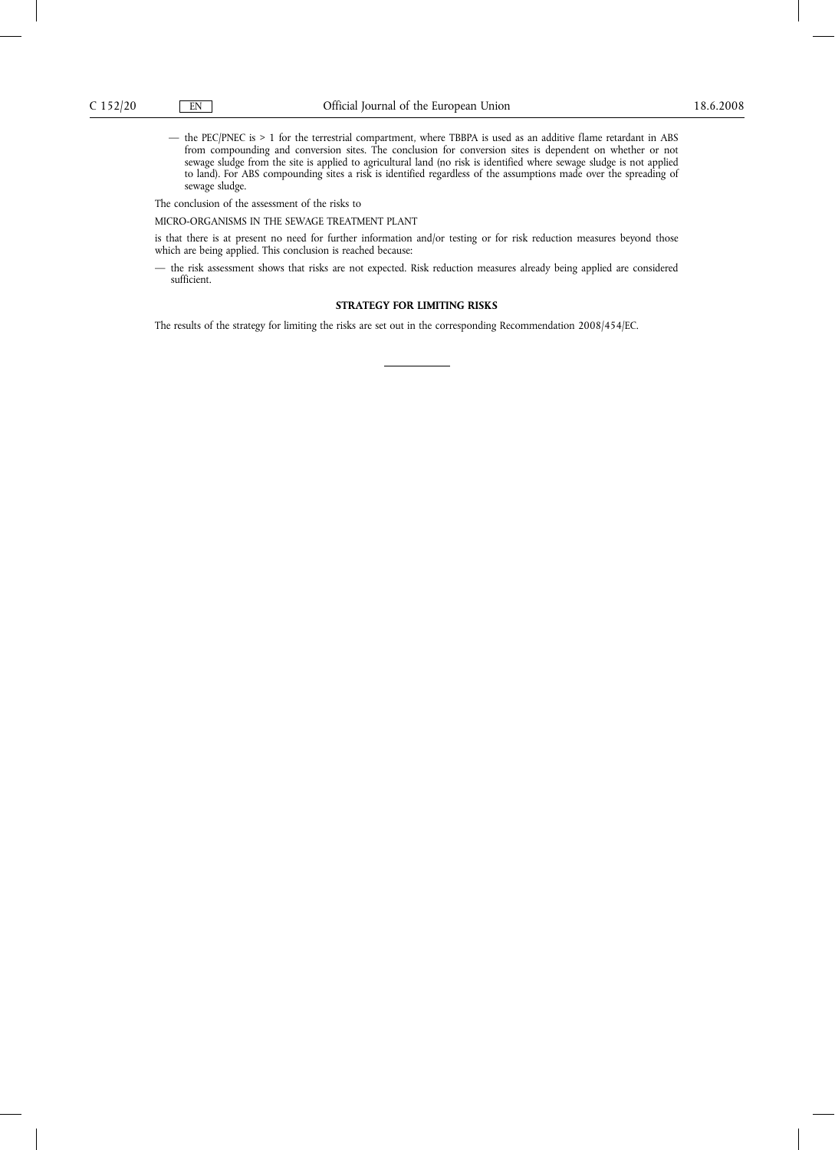— the PEC/PNEC is > 1 for the terrestrial compartment, where TBBPA is used as an additive flame retardant in ABS from compounding and conversion sites. The conclusion for conversion sites is dependent on whether or not sewage sludge from the site is applied to agricultural land (no risk is identified where sewage sludge is not applied to land). For ABS compounding sites a risk is identified regardless of the assumptions made over the spreading of sewage sludge.

The conclusion of the assessment of the risks to

MICRO-ORGANISMS IN THE SEWAGE TREATMENT PLANT

is that there is at present no need for further information and/or testing or for risk reduction measures beyond those which are being applied. This conclusion is reached because:

— the risk assessment shows that risks are not expected. Risk reduction measures already being applied are considered sufficient.

## **STRATEGY FOR LIMITING RISKS**

The results of the strategy for limiting the risks are set out in the corresponding Recommendation 2008/454/EC.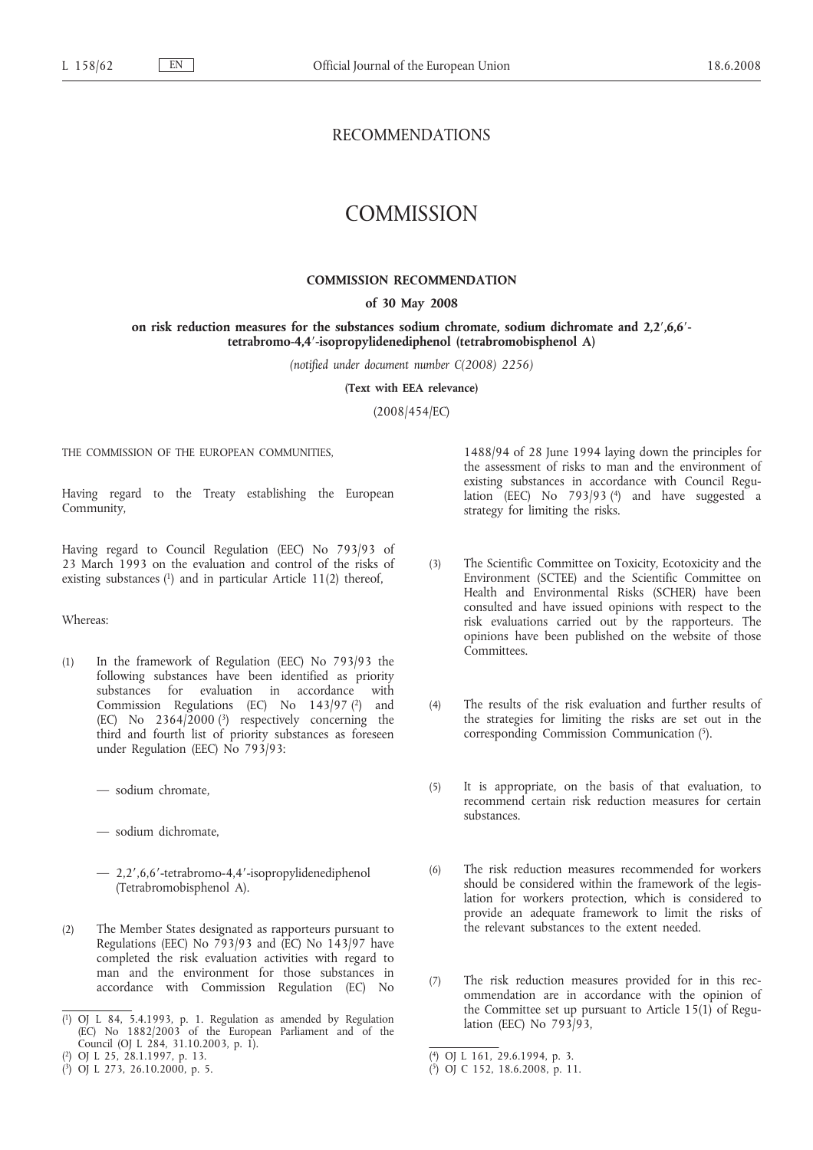# RECOMMENDATIONS

# **COMMISSION**

## **COMMISSION RECOMMENDATION**

## **of 30 May 2008**

## **on risk reduction measures for the substances sodium chromate, sodium dichromate and 2,2′,6,6′ tetrabromo-4,4′-isopropylidenediphenol (tetrabromobisphenol A)**

*(notified under document number C(2008) 2256)*

**(Text with EEA relevance)**

(2008/454/EC)

THE COMMISSION OF THE EUROPEAN COMMUNITIES,

Having regard to the Treaty establishing the European Community,

Having regard to Council Regulation (EEC) No 793/93 of 23 March 1993 on the evaluation and control of the risks of existing substances  $(1)$  and in particular Article 11(2) thereof,

## Whereas:

- (1) In the framework of Regulation (EEC) No 793/93 the following substances have been identified as priority substances for evaluation in accordance with Commission Regulations (EC) No  $143/97$  (2) and (EC) No  $2364/2000$  (<sup>3</sup>) respectively concerning the third and fourth list of priority substances as foreseen under Regulation (EEC) No 793/93:
	- sodium chromate,
	- sodium dichromate,
	- 2,2′,6,6′-tetrabromo-4,4′-isopropylidenediphenol (Tetrabromobisphenol A).
- (2) The Member States designated as rapporteurs pursuant to Regulations (EEC) No 793/93 and (EC) No 143/97 have completed the risk evaluation activities with regard to man and the environment for those substances in accordance with Commission Regulation (EC) No

( 2) OJ L 25, 28.1.1997, p. 13. 1488/94 of 28 June 1994 laying down the principles for the assessment of risks to man and the environment of existing substances in accordance with Council Regulation (EEC) No 793/93 (4) and have suggested a strategy for limiting the risks.

- (3) The Scientific Committee on Toxicity, Ecotoxicity and the Environment (SCTEE) and the Scientific Committee on Health and Environmental Risks (SCHER) have been consulted and have issued opinions with respect to the risk evaluations carried out by the rapporteurs. The opinions have been published on the website of those Committees.
- (4) The results of the risk evaluation and further results of the strategies for limiting the risks are set out in the corresponding Commission Communication (5).
- (5) It is appropriate, on the basis of that evaluation, to recommend certain risk reduction measures for certain substances.
- (6) The risk reduction measures recommended for workers should be considered within the framework of the legislation for workers protection, which is considered to provide an adequate framework to limit the risks of the relevant substances to the extent needed.
- (7) The risk reduction measures provided for in this recommendation are in accordance with the opinion of the Committee set up pursuant to Article  $15(1)$  of Regulation (EEC) No 793/93,

<sup>(</sup> 1) OJ L 84, 5.4.1993, p. 1. Regulation as amended by Regulation  $(EC)$  No 1882/2003 of the European Parliament and of the Council (OJ L 284, 31.10.2003, p. 1).

<sup>(</sup> 3) OJ L 273, 26.10.2000, p. 5.

<sup>(</sup> 4) OJ L 161, 29.6.1994, p. 3.

<sup>(</sup> 5) OJ C 152, 18.6.2008, p. 11.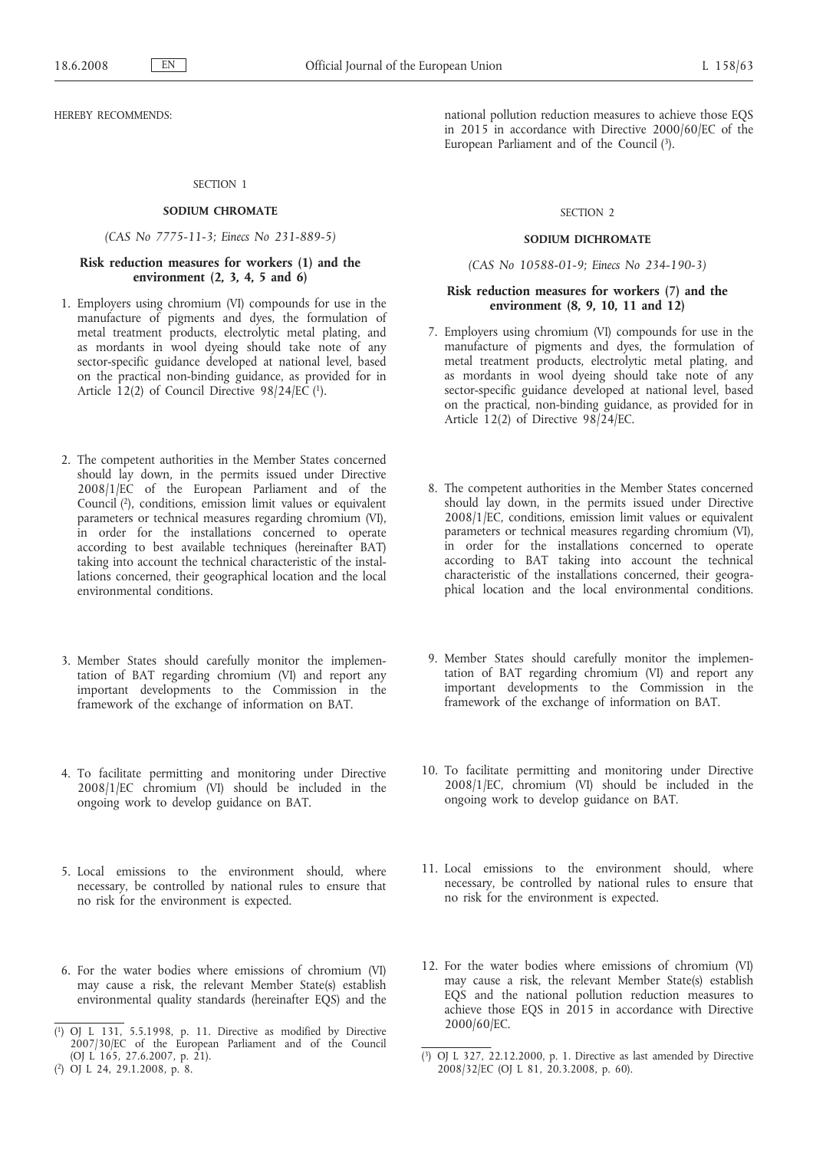HEREBY RECOMMENDS:

## SECTION 1

## **SODIUM CHROMATE**

## *(CAS No 7775-11-3; Einecs No 231-889-5)*

## **Risk reduction measures for workers (1) and the environment (2, 3, 4, 5 and 6)**

- 1. Employers using chromium (VI) compounds for use in the manufacture of pigments and dyes, the formulation of metal treatment products, electrolytic metal plating, and as mordants in wool dyeing should take note of any sector-specific guidance developed at national level, based on the practical non-binding guidance, as provided for in Article  $12(2)$  of Council Directive  $98/24/E\tilde{C}$  (1).
- 2. The competent authorities in the Member States concerned should lay down, in the permits issued under Directive 2008/1/EC of the European Parliament and of the Council (2), conditions, emission limit values or equivalent parameters or technical measures regarding chromium (VI), in order for the installations concerned to operate according to best available techniques (hereinafter BAT) taking into account the technical characteristic of the installations concerned, their geographical location and the local environmental conditions.
- 3. Member States should carefully monitor the implementation of BAT regarding chromium (VI) and report any important developments to the Commission in the framework of the exchange of information on BAT.
- 4. To facilitate permitting and monitoring under Directive 2008/1/EC chromium (VI) should be included in the ongoing work to develop guidance on BAT.
- 5. Local emissions to the environment should, where necessary, be controlled by national rules to ensure that no risk for the environment is expected.
- 6. For the water bodies where emissions of chromium (VI) may cause a risk, the relevant Member State(s) establish environmental quality standards (hereinafter EQS) and the

national pollution reduction measures to achieve those EQS in 2015 in accordance with Directive 2000/60/EC of the European Parliament and of the Council (3).

#### SECTION 2

#### **SODIUM DICHROMATE**

*(CAS No 10588-01-9; Einecs No 234-190-3)*

## **Risk reduction measures for workers (7) and the environment (8, 9, 10, 11 and 12)**

- 7. Employers using chromium (VI) compounds for use in the manufacture of pigments and dyes, the formulation of metal treatment products, electrolytic metal plating, and as mordants in wool dyeing should take note of any sector-specific guidance developed at national level, based on the practical, non-binding guidance, as provided for in Article 12(2) of Directive  $98/24$ /EC.
- 8. The competent authorities in the Member States concerned should lay down, in the permits issued under Directive 2008/1/EC, conditions, emission limit values or equivalent parameters or technical measures regarding chromium (VI), in order for the installations concerned to operate according to BAT taking into account the technical characteristic of the installations concerned, their geographical location and the local environmental conditions.
- 9. Member States should carefully monitor the implementation of BAT regarding chromium (VI) and report any important developments to the Commission in the framework of the exchange of information on BAT.
- 10. To facilitate permitting and monitoring under Directive 2008/1/EC, chromium (VI) should be included in the ongoing work to develop guidance on BAT.
- 11. Local emissions to the environment should, where necessary, be controlled by national rules to ensure that no risk for the environment is expected.
- 12. For the water bodies where emissions of chromium (VI) may cause a risk, the relevant Member State(s) establish EQS and the national pollution reduction measures to achieve those EQS in 2015 in accordance with Directive 2000/60/EC.

<sup>(</sup> 1) OJ L 131, 5.5.1998, p. 11. Directive as modified by Directive 2007/30/EC of the European Parliament and of the Council (OJ L 165, 27.6.2007, p. 21).

<sup>(</sup> 2) OJ L 24, 29.1.2008, p. 8.

<sup>(</sup> 3) OJ L 327, 22.12.2000, p. 1. Directive as last amended by Directive 2008/32/EC (OJ L 81, 20.3.2008, p. 60).